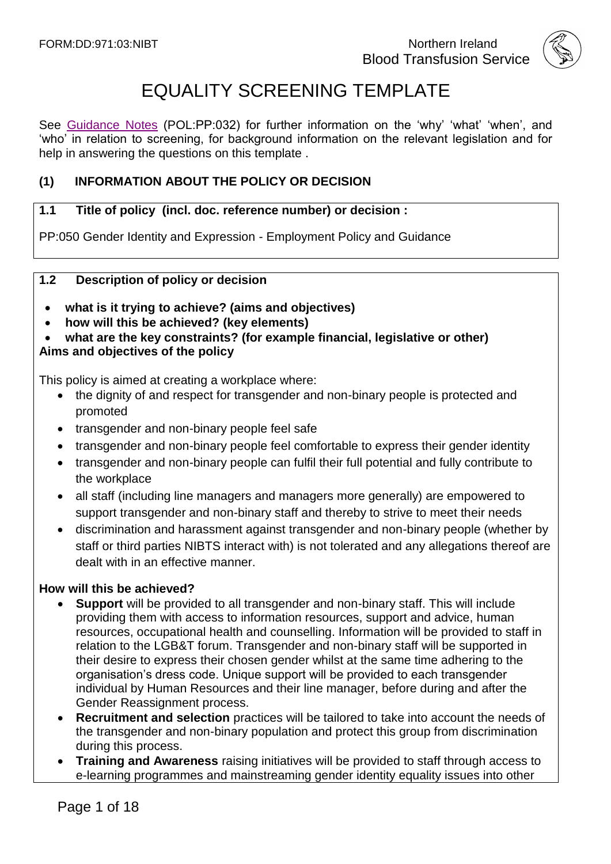

# EQUALITY SCREENING TEMPLATE

See Guidance Notes (POL:PP:032) for further information on the 'why' 'what' 'when', and 'who' in relation to screening, for background information on the relevant legislation and for help in answering the questions on this template .

# **(1) INFORMATION ABOUT THE POLICY OR DECISION**

## **1.1 Title of policy (incl. doc. reference number) or decision :**

PP:050 Gender Identity and Expression - Employment Policy and Guidance

#### **1.2 Description of policy or decision**

- **what is it trying to achieve? (aims and objectives)**
- **how will this be achieved? (key elements)**
- **what are the key constraints? (for example financial, legislative or other) Aims and objectives of the policy**

This policy is aimed at creating a workplace where:

- the dignity of and respect for transgender and non-binary people is protected and promoted
- transgender and non-binary people feel safe
- transgender and non-binary people feel comfortable to express their gender identity
- transgender and non-binary people can fulfil their full potential and fully contribute to the workplace
- all staff (including line managers and managers more generally) are empowered to support transgender and non-binary staff and thereby to strive to meet their needs
- discrimination and harassment against transgender and non-binary people (whether by staff or third parties NIBTS interact with) is not tolerated and any allegations thereof are dealt with in an effective manner.

### **How will this be achieved?**

- **Support** will be provided to all transgender and non-binary staff. This will include providing them with access to information resources, support and advice, human resources, occupational health and counselling. Information will be provided to staff in relation to the LGB&T forum. Transgender and non-binary staff will be supported in their desire to express their chosen gender whilst at the same time adhering to the organisation's dress code. Unique support will be provided to each transgender individual by Human Resources and their line manager, before during and after the Gender Reassignment process.
- **Recruitment and selection** practices will be tailored to take into account the needs of the transgender and non-binary population and protect this group from discrimination during this process.
- **Training and Awareness** raising initiatives will be provided to staff through access to e-learning programmes and mainstreaming gender identity equality issues into other

Page 1 of 18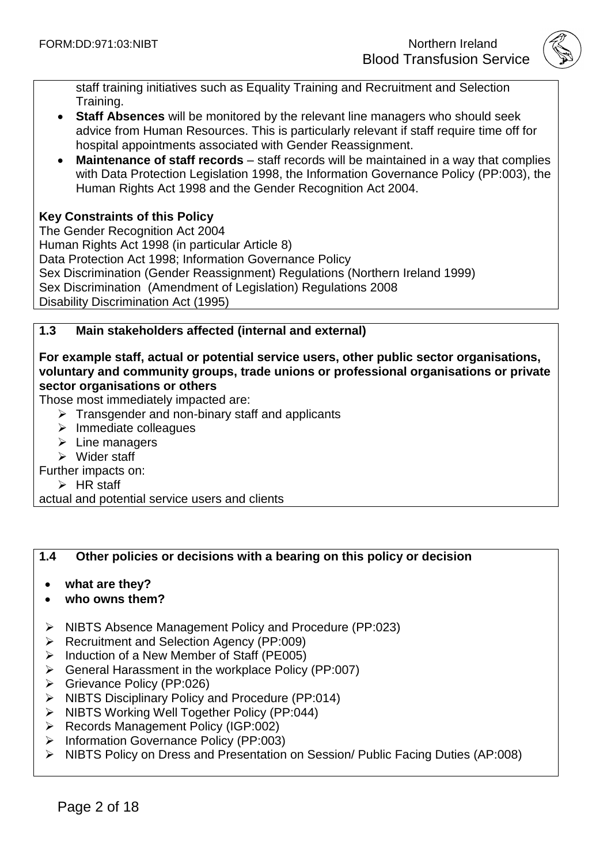

staff training initiatives such as Equality Training and Recruitment and Selection Training.

- **Staff Absences** will be monitored by the relevant line managers who should seek advice from Human Resources. This is particularly relevant if staff require time off for hospital appointments associated with Gender Reassignment.
- **Maintenance of staff records** staff records will be maintained in a way that complies with Data Protection Legislation 1998, the Information Governance Policy (PP:003), the Human Rights Act 1998 and the Gender Recognition Act 2004.

# **Key Constraints of this Policy**

The Gender Recognition Act 2004 Human Rights Act 1998 (in particular Article 8) Data Protection Act 1998; Information Governance Policy Sex Discrimination (Gender Reassignment) Regulations (Northern Ireland 1999) Sex Discrimination (Amendment of Legislation) Regulations 2008 Disability Discrimination Act (1995)

# **1.3 Main stakeholders affected (internal and external)**

# **For example staff, actual or potential service users, other public sector organisations, voluntary and community groups, trade unions or professional organisations or private sector organisations or others**

Those most immediately impacted are:

- $\triangleright$  Transgender and non-binary staff and applicants
- $\triangleright$  Immediate colleagues
- $\triangleright$  Line managers
- $\triangleright$  Wider staff

Further impacts on:

 $\triangleright$  HR staff

actual and potential service users and clients

# **1.4 Other policies or decisions with a bearing on this policy or decision**

- **what are they?**
- **who owns them?**
- NIBTS Absence Management Policy and Procedure (PP:023)
- $\triangleright$  Recruitment and Selection Agency (PP:009)
- $\triangleright$  Induction of a New Member of Staff (PE005)
- $\triangleright$  General Harassment in the workplace Policy (PP:007)
- Grievance Policy (PP:026)
- > NIBTS Disciplinary Policy and Procedure (PP:014)
- $\triangleright$  NIBTS Working Well Together Policy (PP:044)
- Records Management Policy (IGP:002)
- $\triangleright$  Information Governance Policy (PP:003)
- NIBTS Policy on Dress and Presentation on Session/ Public Facing Duties (AP:008)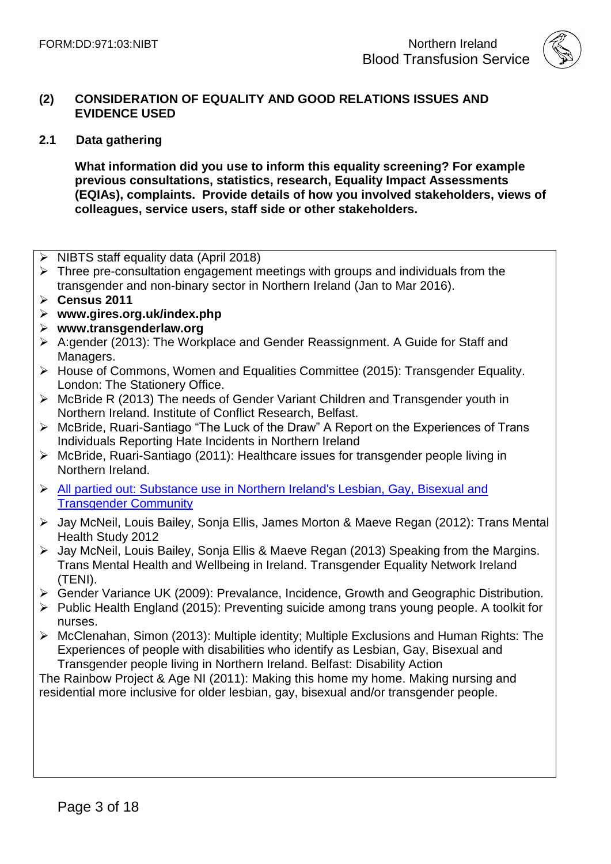

#### **(2) CONSIDERATION OF EQUALITY AND GOOD RELATIONS ISSUES AND EVIDENCE USED**

## **2.1 Data gathering**

**What information did you use to inform this equality screening? For example previous consultations, statistics, research, Equality Impact Assessments (EQIAs), complaints. Provide details of how you involved stakeholders, views of colleagues, service users, staff side or other stakeholders.**

- $\triangleright$  NIBTS staff equality data (April 2018)
- $\triangleright$  Three pre-consultation engagement meetings with groups and individuals from the transgender and non-binary sector in Northern Ireland (Jan to Mar 2016).
- **Census 2011**
- **www.gires.org.uk/index.php**
- **[www.transgenderlaw.org](http://www.transgenderlaw.org/)**
- A:gender (2013): The Workplace and Gender Reassignment. A Guide for Staff and Managers.
- $\triangleright$  House of Commons, Women and Equalities Committee (2015): Transgender Equality. London: The Stationery Office.
- McBride R (2013) The needs of Gender Variant Children and Transgender youth in Northern Ireland. Institute of Conflict Research, Belfast.
- McBride, Ruari-Santiago "The Luck of the Draw" A Report on the Experiences of Trans Individuals Reporting Hate Incidents in Northern Ireland
- McBride, Ruari-Santiago (2011): Healthcare issues for transgender people living in Northern Ireland.
- [All partied out: Substance use in Northern Ireland's Lesbian, Gay, Bisexual and](http://www.rainbow-project.org/assets/publications/All%20Partied%20Out.pdf)  [Transgender Community](http://www.rainbow-project.org/assets/publications/All%20Partied%20Out.pdf)
- Jay McNeil, Louis Bailey, Sonja Ellis, James Morton & Maeve Regan (2012): Trans Mental Health Study 2012
- Jay McNeil, Louis Bailey, Sonja Ellis & Maeve Regan (2013) Speaking from the Margins. Trans Mental Health and Wellbeing in Ireland. Transgender Equality Network Ireland (TENI).
- Gender Variance UK (2009): Prevalance, Incidence, Growth and Geographic Distribution.
- $\triangleright$  Public Health England (2015): Preventing suicide among trans young people. A toolkit for nurses.
- McClenahan, Simon (2013): Multiple identity; Multiple Exclusions and Human Rights: The Experiences of people with disabilities who identify as Lesbian, Gay, Bisexual and Transgender people living in Northern Ireland. Belfast: Disability Action

The Rainbow Project & Age NI (2011): Making this home my home. Making nursing and residential more inclusive for older lesbian, gay, bisexual and/or transgender people.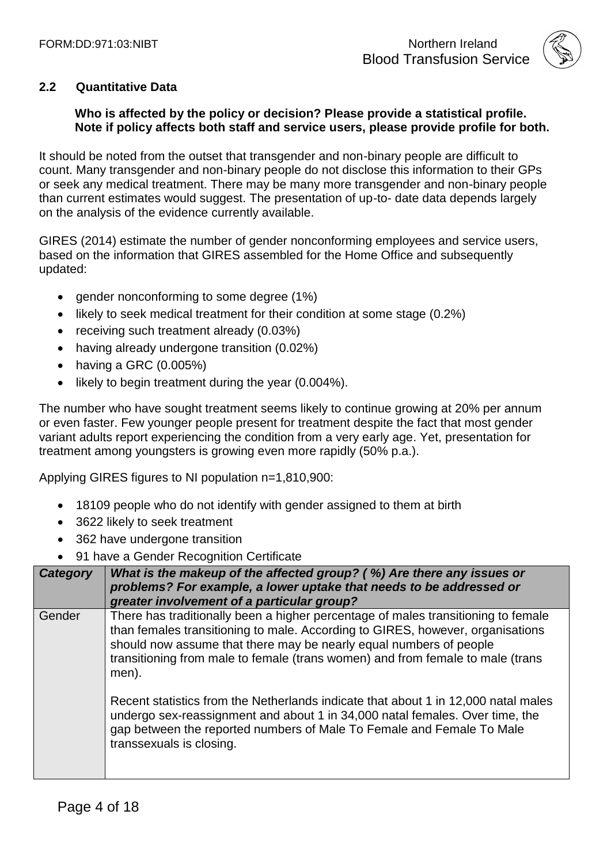

### **2.2 Quantitative Data**

### **Who is affected by the policy or decision? Please provide a statistical profile. Note if policy affects both staff and service users, please provide profile for both.**

It should be noted from the outset that transgender and non-binary people are difficult to count. Many transgender and non-binary people do not disclose this information to their GPs or seek any medical treatment. There may be many more transgender and non-binary people than current estimates would suggest. The presentation of up-to- date data depends largely on the analysis of the evidence currently available.

GIRES (2014) estimate the number of gender nonconforming employees and service users, based on the information that GIRES assembled for the Home Office and subsequently updated:

- gender nonconforming to some degree (1%)
- likely to seek medical treatment for their condition at some stage (0.2%)
- receiving such treatment already (0.03%)
- having already undergone transition (0.02%)
- $\bullet$  having a GRC (0.005%)
- $\bullet$  likely to begin treatment during the year (0.004%).

The number who have sought treatment seems likely to continue growing at 20% per annum or even faster. Few younger people present for treatment despite the fact that most gender variant adults report experiencing the condition from a very early age. Yet, presentation for treatment among youngsters is growing even more rapidly (50% p.a.).

Applying GIRES figures to NI population n=1,810,900:

- 18109 people who do not identify with gender assigned to them at birth
- 3622 likely to seek treatment
- 362 have undergone transition
- 91 have a Gender Recognition Certificate

| Category | What is the makeup of the affected group? (%) Are there any issues or<br>problems? For example, a lower uptake that needs to be addressed or<br>greater involvement of a particular group?                                                                                                                                           |
|----------|--------------------------------------------------------------------------------------------------------------------------------------------------------------------------------------------------------------------------------------------------------------------------------------------------------------------------------------|
| Gender   | There has traditionally been a higher percentage of males transitioning to female<br>than females transitioning to male. According to GIRES, however, organisations<br>should now assume that there may be nearly equal numbers of people<br>transitioning from male to female (trans women) and from female to male (trans<br>men). |
|          | Recent statistics from the Netherlands indicate that about 1 in 12,000 natal males<br>undergo sex-reassignment and about 1 in 34,000 natal females. Over time, the<br>gap between the reported numbers of Male To Female and Female To Male<br>transsexuals is closing.                                                              |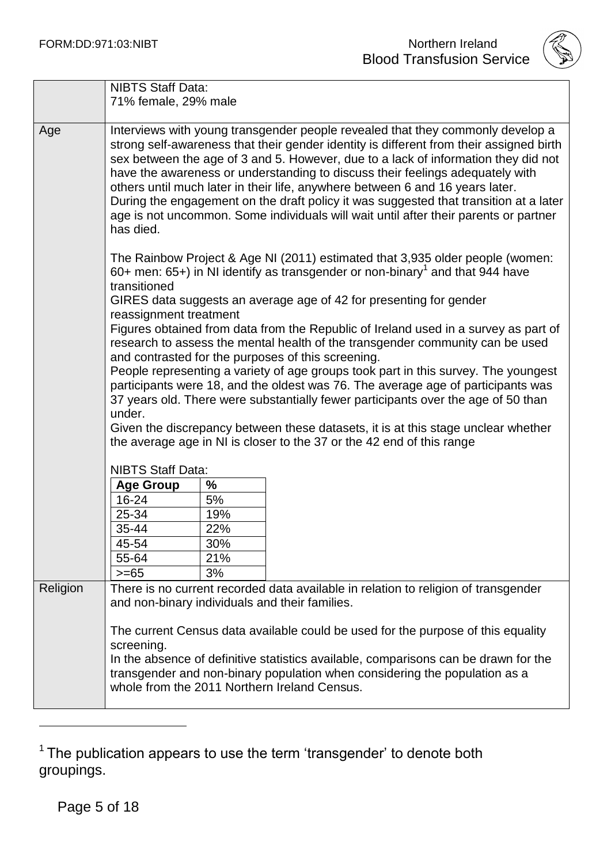

|          | <b>NIBTS Staff Data:</b><br>71% female, 29% male                                                                                                                                                                                                                                                                                                                                                                                                                                                                                                                                                                                |     |                                                                                                                                                                           |
|----------|---------------------------------------------------------------------------------------------------------------------------------------------------------------------------------------------------------------------------------------------------------------------------------------------------------------------------------------------------------------------------------------------------------------------------------------------------------------------------------------------------------------------------------------------------------------------------------------------------------------------------------|-----|---------------------------------------------------------------------------------------------------------------------------------------------------------------------------|
| Age      | Interviews with young transgender people revealed that they commonly develop a<br>strong self-awareness that their gender identity is different from their assigned birth<br>sex between the age of 3 and 5. However, due to a lack of information they did not<br>have the awareness or understanding to discuss their feelings adequately with<br>others until much later in their life, anywhere between 6 and 16 years later.<br>During the engagement on the draft policy it was suggested that transition at a later<br>age is not uncommon. Some individuals will wait until after their parents or partner<br>has died. |     |                                                                                                                                                                           |
|          | transitioned                                                                                                                                                                                                                                                                                                                                                                                                                                                                                                                                                                                                                    |     | The Rainbow Project & Age NI (2011) estimated that 3,935 older people (women:<br>60+ men: 65+) in NI identify as transgender or non-binary <sup>1</sup> and that 944 have |
|          |                                                                                                                                                                                                                                                                                                                                                                                                                                                                                                                                                                                                                                 |     | GIRES data suggests an average age of 42 for presenting for gender                                                                                                        |
|          | reassignment treatment<br>Figures obtained from data from the Republic of Ireland used in a survey as part of<br>research to assess the mental health of the transgender community can be used<br>and contrasted for the purposes of this screening.<br>People representing a variety of age groups took part in this survey. The youngest<br>participants were 18, and the oldest was 76. The average age of participants was                                                                                                                                                                                                  |     |                                                                                                                                                                           |
|          | 37 years old. There were substantially fewer participants over the age of 50 than                                                                                                                                                                                                                                                                                                                                                                                                                                                                                                                                               |     |                                                                                                                                                                           |
|          | under.<br>Given the discrepancy between these datasets, it is at this stage unclear whether<br>the average age in NI is closer to the 37 or the 42 end of this range                                                                                                                                                                                                                                                                                                                                                                                                                                                            |     |                                                                                                                                                                           |
|          | <b>NIBTS Staff Data:</b>                                                                                                                                                                                                                                                                                                                                                                                                                                                                                                                                                                                                        |     |                                                                                                                                                                           |
|          | <b>Age Group</b>                                                                                                                                                                                                                                                                                                                                                                                                                                                                                                                                                                                                                | %   |                                                                                                                                                                           |
|          | 16-24                                                                                                                                                                                                                                                                                                                                                                                                                                                                                                                                                                                                                           | 5%  |                                                                                                                                                                           |
|          | 25-34                                                                                                                                                                                                                                                                                                                                                                                                                                                                                                                                                                                                                           | 19% |                                                                                                                                                                           |
|          | 35-44                                                                                                                                                                                                                                                                                                                                                                                                                                                                                                                                                                                                                           | 22% |                                                                                                                                                                           |
|          | 45-54                                                                                                                                                                                                                                                                                                                                                                                                                                                                                                                                                                                                                           | 30% |                                                                                                                                                                           |
|          | 55-64                                                                                                                                                                                                                                                                                                                                                                                                                                                                                                                                                                                                                           | 21% |                                                                                                                                                                           |
|          | $>= 65$                                                                                                                                                                                                                                                                                                                                                                                                                                                                                                                                                                                                                         | 3%  |                                                                                                                                                                           |
| Religion |                                                                                                                                                                                                                                                                                                                                                                                                                                                                                                                                                                                                                                 |     | There is no current recorded data available in relation to religion of transgender<br>and non-binary individuals and their families.                                      |
|          | The current Census data available could be used for the purpose of this equality<br>screening.<br>In the absence of definitive statistics available, comparisons can be drawn for the<br>transgender and non-binary population when considering the population as a<br>whole from the 2011 Northern Ireland Census.                                                                                                                                                                                                                                                                                                             |     |                                                                                                                                                                           |

 $^1$  The publication appears to use the term 'transgender' to denote both groupings.

 $\overline{a}$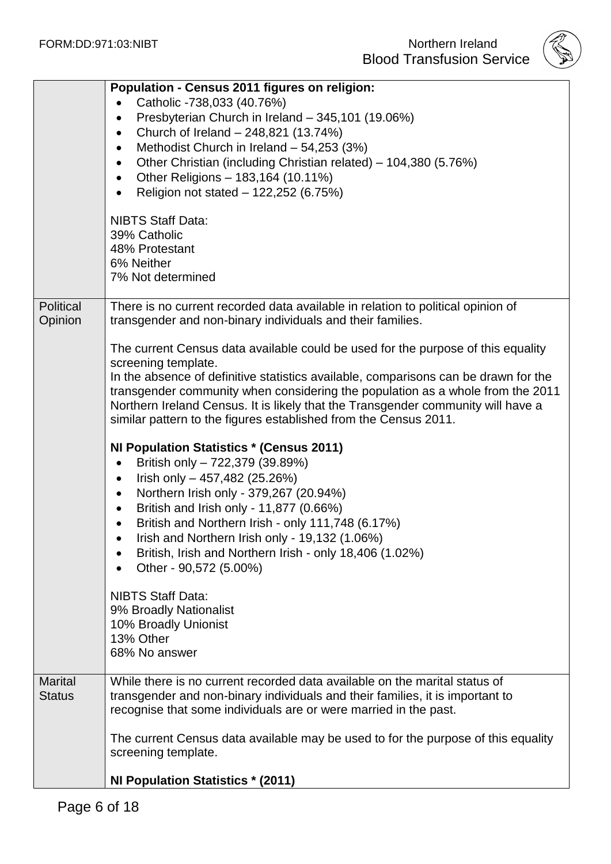|                                 | Population - Census 2011 figures on religion:<br>Catholic -738,033 (40.76%)<br>Presbyterian Church in Ireland - 345,101 (19.06%)<br>$\bullet$<br>Church of Ireland - 248,821 (13.74%)<br>$\bullet$<br>Methodist Church in Ireland $-54,253$ (3%)<br>$\bullet$<br>Other Christian (including Christian related) – 104,380 (5.76%)<br>$\bullet$<br>Other Religions - 183,164 (10.11%)<br>$\bullet$<br>Religion not stated - 122,252 (6.75%)<br><b>NIBTS Staff Data:</b><br>39% Catholic<br>48% Protestant<br>6% Neither<br>7% Not determined                      |
|---------------------------------|-----------------------------------------------------------------------------------------------------------------------------------------------------------------------------------------------------------------------------------------------------------------------------------------------------------------------------------------------------------------------------------------------------------------------------------------------------------------------------------------------------------------------------------------------------------------|
| Political<br>Opinion            | There is no current recorded data available in relation to political opinion of<br>transgender and non-binary individuals and their families.                                                                                                                                                                                                                                                                                                                                                                                                                   |
|                                 | The current Census data available could be used for the purpose of this equality<br>screening template.<br>In the absence of definitive statistics available, comparisons can be drawn for the<br>transgender community when considering the population as a whole from the 2011<br>Northern Ireland Census. It is likely that the Transgender community will have a<br>similar pattern to the figures established from the Census 2011.                                                                                                                        |
|                                 | NI Population Statistics * (Census 2011)<br>British only - 722,379 (39.89%)<br>$\bullet$<br>Irish only $-457,482$ (25.26%)<br>$\bullet$<br>Northern Irish only - 379,267 (20.94%)<br>$\bullet$<br>British and Irish only - 11,877 (0.66%)<br>$\bullet$<br>British and Northern Irish - only 111,748 (6.17%)<br>$\bullet$<br>Irish and Northern Irish only - 19,132 (1.06%)<br>British, Irish and Northern Irish - only 18,406 (1.02%)<br>٠<br>Other - 90,572 (5.00%)<br><b>NIBTS Staff Data:</b><br>9% Broadly Nationalist<br>10% Broadly Unionist<br>13% Other |
|                                 | 68% No answer                                                                                                                                                                                                                                                                                                                                                                                                                                                                                                                                                   |
| <b>Marital</b><br><b>Status</b> | While there is no current recorded data available on the marital status of<br>transgender and non-binary individuals and their families, it is important to<br>recognise that some individuals are or were married in the past.                                                                                                                                                                                                                                                                                                                                 |
|                                 | The current Census data available may be used to for the purpose of this equality<br>screening template.                                                                                                                                                                                                                                                                                                                                                                                                                                                        |
|                                 | NI Population Statistics * (2011)                                                                                                                                                                                                                                                                                                                                                                                                                                                                                                                               |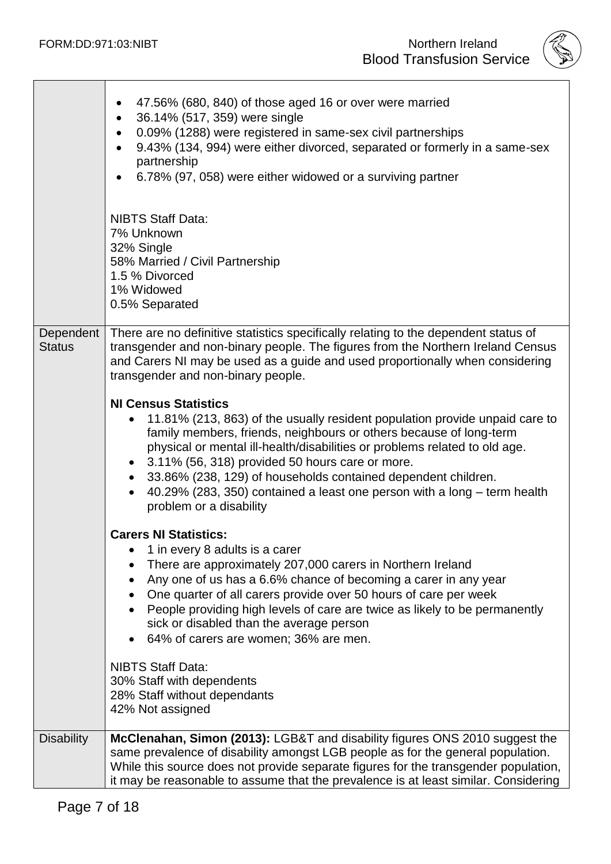

|                            | 47.56% (680, 840) of those aged 16 or over were married<br>$\bullet$<br>36.14% (517, 359) were single<br>$\bullet$<br>0.09% (1288) were registered in same-sex civil partnerships<br>$\bullet$<br>9.43% (134, 994) were either divorced, separated or formerly in a same-sex<br>$\bullet$<br>partnership<br>6.78% (97, 058) were either widowed or a surviving partner<br>$\bullet$<br><b>NIBTS Staff Data:</b><br>7% Unknown<br>32% Single<br>58% Married / Civil Partnership<br>1.5 % Divorced<br>1% Widowed<br>0.5% Separated |
|----------------------------|----------------------------------------------------------------------------------------------------------------------------------------------------------------------------------------------------------------------------------------------------------------------------------------------------------------------------------------------------------------------------------------------------------------------------------------------------------------------------------------------------------------------------------|
| Dependent<br><b>Status</b> | There are no definitive statistics specifically relating to the dependent status of<br>transgender and non-binary people. The figures from the Northern Ireland Census<br>and Carers NI may be used as a guide and used proportionally when considering<br>transgender and non-binary people.                                                                                                                                                                                                                                    |
|                            | <b>NI Census Statistics</b><br>11.81% (213, 863) of the usually resident population provide unpaid care to<br>family members, friends, neighbours or others because of long-term<br>physical or mental ill-health/disabilities or problems related to old age.<br>• 3.11% (56, 318) provided 50 hours care or more.<br>33.86% (238, 129) of households contained dependent children.<br>40.29% (283, 350) contained a least one person with a long – term health<br>problem or a disability                                      |
|                            | <b>Carers NI Statistics:</b><br>1 in every 8 adults is a carer<br>There are approximately 207,000 carers in Northern Ireland<br>Any one of us has a 6.6% chance of becoming a carer in any year<br>One quarter of all carers provide over 50 hours of care per week<br>People providing high levels of care are twice as likely to be permanently<br>sick or disabled than the average person<br>64% of carers are women; 36% are men.                                                                                           |
|                            | <b>NIBTS Staff Data:</b><br>30% Staff with dependents<br>28% Staff without dependants<br>42% Not assigned                                                                                                                                                                                                                                                                                                                                                                                                                        |
| <b>Disability</b>          | McClenahan, Simon (2013): LGB&T and disability figures ONS 2010 suggest the<br>same prevalence of disability amongst LGB people as for the general population.<br>While this source does not provide separate figures for the transgender population,<br>it may be reasonable to assume that the prevalence is at least similar. Considering                                                                                                                                                                                     |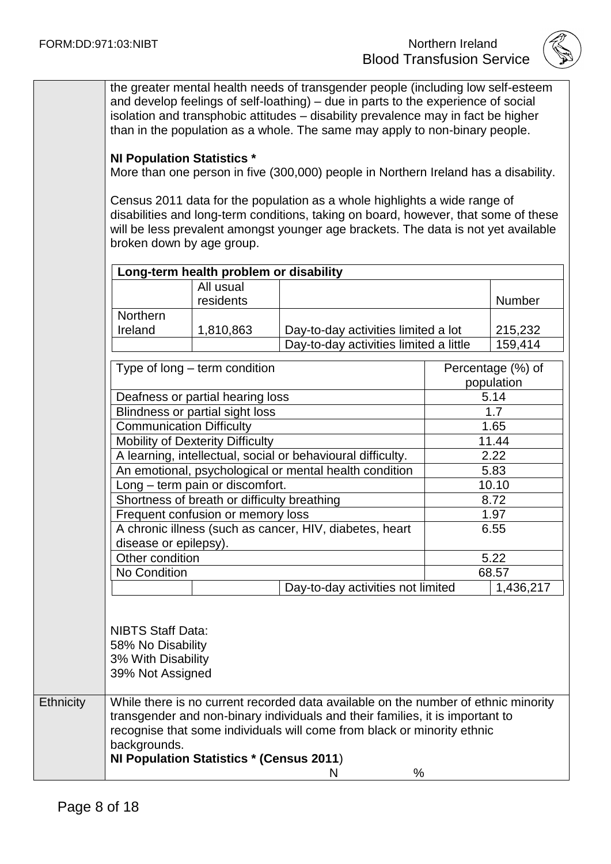

|                  |                                                                                         |                                                                                | the greater mental health needs of transgender people (including low self-esteem<br>and develop feelings of self-loathing) – due in parts to the experience of social<br>isolation and transphobic attitudes - disability prevalence may in fact be higher<br>than in the population as a whole. The same may apply to non-binary people. |                                 |
|------------------|-----------------------------------------------------------------------------------------|--------------------------------------------------------------------------------|-------------------------------------------------------------------------------------------------------------------------------------------------------------------------------------------------------------------------------------------------------------------------------------------------------------------------------------------|---------------------------------|
|                  | <b>NI Population Statistics *</b>                                                       |                                                                                | More than one person in five (300,000) people in Northern Ireland has a disability.                                                                                                                                                                                                                                                       |                                 |
|                  | broken down by age group.                                                               |                                                                                | Census 2011 data for the population as a whole highlights a wide range of<br>disabilities and long-term conditions, taking on board, however, that some of these<br>will be less prevalent amongst younger age brackets. The data is not yet available                                                                                    |                                 |
|                  |                                                                                         | Long-term health problem or disability                                         |                                                                                                                                                                                                                                                                                                                                           |                                 |
|                  |                                                                                         | All usual<br>residents                                                         |                                                                                                                                                                                                                                                                                                                                           | Number                          |
|                  | Northern<br>Ireland                                                                     | 1,810,863                                                                      | Day-to-day activities limited a lot                                                                                                                                                                                                                                                                                                       | 215,232                         |
|                  |                                                                                         |                                                                                | Day-to-day activities limited a little                                                                                                                                                                                                                                                                                                    | 159,414                         |
|                  |                                                                                         | Type of long – term condition                                                  |                                                                                                                                                                                                                                                                                                                                           | Percentage (%) of<br>population |
|                  |                                                                                         | Deafness or partial hearing loss                                               |                                                                                                                                                                                                                                                                                                                                           | 5.14                            |
|                  |                                                                                         | <b>Blindness or partial sight loss</b>                                         |                                                                                                                                                                                                                                                                                                                                           | 1.7                             |
|                  | <b>Communication Difficulty</b>                                                         |                                                                                |                                                                                                                                                                                                                                                                                                                                           | 1.65                            |
|                  |                                                                                         | <b>Mobility of Dexterity Difficulty</b>                                        |                                                                                                                                                                                                                                                                                                                                           | 11.44                           |
|                  |                                                                                         |                                                                                | A learning, intellectual, social or behavioural difficulty.                                                                                                                                                                                                                                                                               | 2.22                            |
|                  |                                                                                         |                                                                                | An emotional, psychological or mental health condition                                                                                                                                                                                                                                                                                    | 5.83                            |
|                  |                                                                                         | Long - term pain or discomfort.<br>Shortness of breath or difficulty breathing |                                                                                                                                                                                                                                                                                                                                           | 10.10<br>8.72                   |
|                  |                                                                                         | Frequent confusion or memory loss                                              |                                                                                                                                                                                                                                                                                                                                           | 1.97                            |
|                  | disease or epilepsy).                                                                   |                                                                                | A chronic illness (such as cancer, HIV, diabetes, heart                                                                                                                                                                                                                                                                                   | 6.55                            |
|                  | Other condition                                                                         |                                                                                |                                                                                                                                                                                                                                                                                                                                           | 5.22                            |
|                  | No Condition                                                                            |                                                                                |                                                                                                                                                                                                                                                                                                                                           | 68.57                           |
|                  | Day-to-day activities not limited                                                       |                                                                                | 1,436,217                                                                                                                                                                                                                                                                                                                                 |                                 |
|                  | <b>NIBTS Staff Data:</b><br>58% No Disability<br>3% With Disability<br>39% Not Assigned |                                                                                |                                                                                                                                                                                                                                                                                                                                           |                                 |
| <b>Ethnicity</b> | backgrounds.                                                                            | NI Population Statistics * (Census 2011)                                       | While there is no current recorded data available on the number of ethnic minority<br>transgender and non-binary individuals and their families, it is important to<br>recognise that some individuals will come from black or minority ethnic<br>%<br>N                                                                                  |                                 |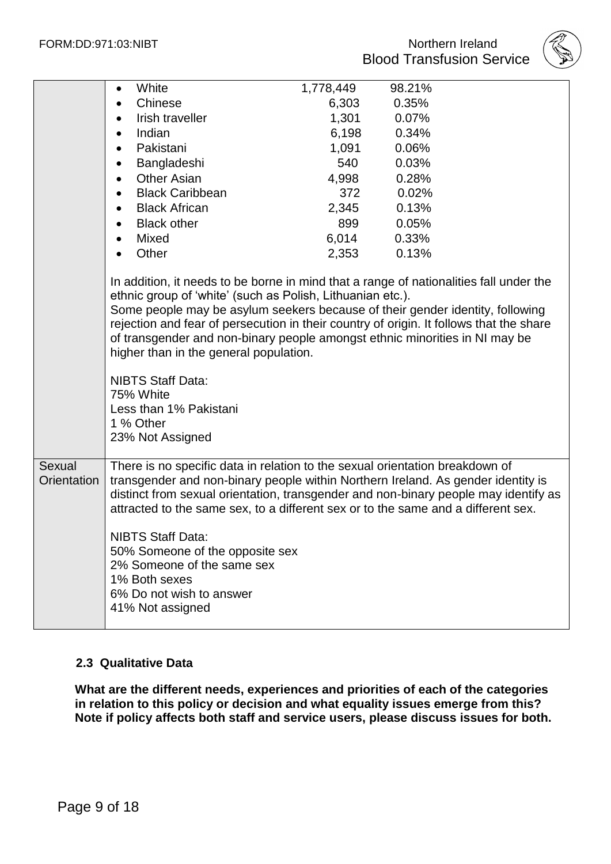

|                              |           | White                                                                                                                                                                                                                                                                                                                           | 1,778,449 | 98.21%                                                                                                                                                                                                                                                             |
|------------------------------|-----------|---------------------------------------------------------------------------------------------------------------------------------------------------------------------------------------------------------------------------------------------------------------------------------------------------------------------------------|-----------|--------------------------------------------------------------------------------------------------------------------------------------------------------------------------------------------------------------------------------------------------------------------|
|                              |           | Chinese                                                                                                                                                                                                                                                                                                                         | 6,303     | 0.35%                                                                                                                                                                                                                                                              |
|                              |           | Irish traveller                                                                                                                                                                                                                                                                                                                 | 1,301     | 0.07%                                                                                                                                                                                                                                                              |
|                              | $\bullet$ | Indian                                                                                                                                                                                                                                                                                                                          | 6,198     | 0.34%                                                                                                                                                                                                                                                              |
|                              |           | Pakistani                                                                                                                                                                                                                                                                                                                       | 1,091     | 0.06%                                                                                                                                                                                                                                                              |
|                              | ٠         | Bangladeshi                                                                                                                                                                                                                                                                                                                     | 540       | 0.03%                                                                                                                                                                                                                                                              |
|                              |           | <b>Other Asian</b>                                                                                                                                                                                                                                                                                                              | 4,998     | 0.28%                                                                                                                                                                                                                                                              |
|                              |           | <b>Black Caribbean</b>                                                                                                                                                                                                                                                                                                          | 372       | 0.02%                                                                                                                                                                                                                                                              |
|                              | $\bullet$ | <b>Black African</b>                                                                                                                                                                                                                                                                                                            | 2,345     | 0.13%                                                                                                                                                                                                                                                              |
|                              |           | <b>Black other</b>                                                                                                                                                                                                                                                                                                              | 899       | 0.05%                                                                                                                                                                                                                                                              |
|                              |           | Mixed                                                                                                                                                                                                                                                                                                                           | 6,014     | 0.33%                                                                                                                                                                                                                                                              |
|                              |           | Other                                                                                                                                                                                                                                                                                                                           | 2,353     | 0.13%                                                                                                                                                                                                                                                              |
|                              |           | ethnic group of 'white' (such as Polish, Lithuanian etc.).<br>of transgender and non-binary people amongst ethnic minorities in NI may be<br>higher than in the general population.<br><b>NIBTS Staff Data:</b><br>75% White<br>Less than 1% Pakistani<br>1 % Other<br>23% Not Assigned                                         |           | In addition, it needs to be borne in mind that a range of nationalities fall under the<br>Some people may be asylum seekers because of their gender identity, following<br>rejection and fear of persecution in their country of origin. It follows that the share |
| <b>Sexual</b><br>Orientation |           | There is no specific data in relation to the sexual orientation breakdown of<br>attracted to the same sex, to a different sex or to the same and a different sex.<br><b>NIBTS Staff Data:</b><br>50% Someone of the opposite sex<br>2% Someone of the same sex<br>1% Both sexes<br>6% Do not wish to answer<br>41% Not assigned |           | transgender and non-binary people within Northern Ireland. As gender identity is<br>distinct from sexual orientation, transgender and non-binary people may identify as                                                                                            |

# **2.4 2.3 Qualitative Data**

**What are the different needs, experiences and priorities of each of the categories in relation to this policy or decision and what equality issues emerge from this? Note if policy affects both staff and service users, please discuss issues for both.**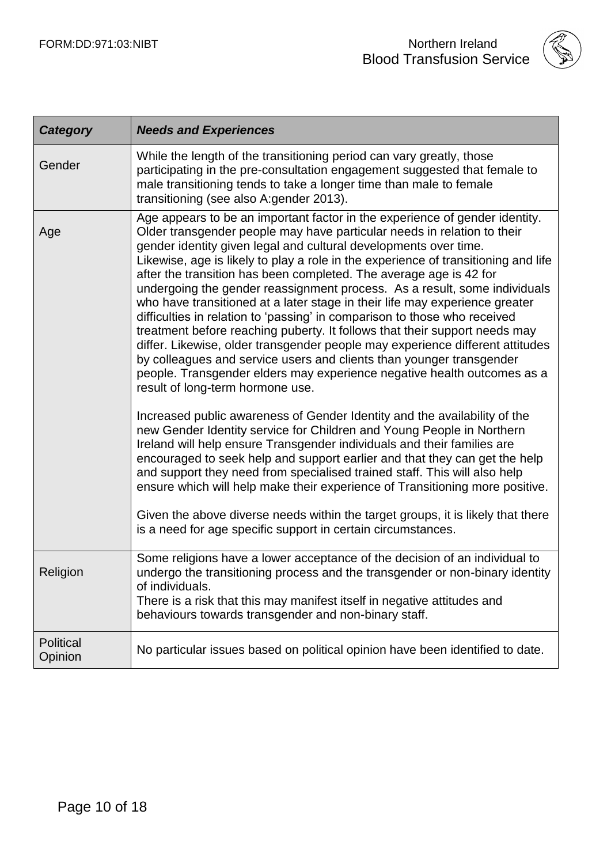

| <b>Category</b>             | <b>Needs and Experiences</b>                                                                                                                                                                                                                                                                                                                                                                                                                                                                                                                                                                                                                                                                                                                                                                                                                                                                                                                                                                                                                                                                                                                                                                                                                                                                                                                                                                                                                                                                                                                                                                                         |
|-----------------------------|----------------------------------------------------------------------------------------------------------------------------------------------------------------------------------------------------------------------------------------------------------------------------------------------------------------------------------------------------------------------------------------------------------------------------------------------------------------------------------------------------------------------------------------------------------------------------------------------------------------------------------------------------------------------------------------------------------------------------------------------------------------------------------------------------------------------------------------------------------------------------------------------------------------------------------------------------------------------------------------------------------------------------------------------------------------------------------------------------------------------------------------------------------------------------------------------------------------------------------------------------------------------------------------------------------------------------------------------------------------------------------------------------------------------------------------------------------------------------------------------------------------------------------------------------------------------------------------------------------------------|
| Gender                      | While the length of the transitioning period can vary greatly, those<br>participating in the pre-consultation engagement suggested that female to<br>male transitioning tends to take a longer time than male to female<br>transitioning (see also A:gender 2013).                                                                                                                                                                                                                                                                                                                                                                                                                                                                                                                                                                                                                                                                                                                                                                                                                                                                                                                                                                                                                                                                                                                                                                                                                                                                                                                                                   |
| Age                         | Age appears to be an important factor in the experience of gender identity.<br>Older transgender people may have particular needs in relation to their<br>gender identity given legal and cultural developments over time.<br>Likewise, age is likely to play a role in the experience of transitioning and life<br>after the transition has been completed. The average age is 42 for<br>undergoing the gender reassignment process. As a result, some individuals<br>who have transitioned at a later stage in their life may experience greater<br>difficulties in relation to 'passing' in comparison to those who received<br>treatment before reaching puberty. It follows that their support needs may<br>differ. Likewise, older transgender people may experience different attitudes<br>by colleagues and service users and clients than younger transgender<br>people. Transgender elders may experience negative health outcomes as a<br>result of long-term hormone use.<br>Increased public awareness of Gender Identity and the availability of the<br>new Gender Identity service for Children and Young People in Northern<br>Ireland will help ensure Transgender individuals and their families are<br>encouraged to seek help and support earlier and that they can get the help<br>and support they need from specialised trained staff. This will also help<br>ensure which will help make their experience of Transitioning more positive.<br>Given the above diverse needs within the target groups, it is likely that there<br>is a need for age specific support in certain circumstances. |
| Religion                    | Some religions have a lower acceptance of the decision of an individual to<br>undergo the transitioning process and the transgender or non-binary identity<br>of individuals.<br>There is a risk that this may manifest itself in negative attitudes and<br>behaviours towards transgender and non-binary staff.                                                                                                                                                                                                                                                                                                                                                                                                                                                                                                                                                                                                                                                                                                                                                                                                                                                                                                                                                                                                                                                                                                                                                                                                                                                                                                     |
| <b>Political</b><br>Opinion | No particular issues based on political opinion have been identified to date.                                                                                                                                                                                                                                                                                                                                                                                                                                                                                                                                                                                                                                                                                                                                                                                                                                                                                                                                                                                                                                                                                                                                                                                                                                                                                                                                                                                                                                                                                                                                        |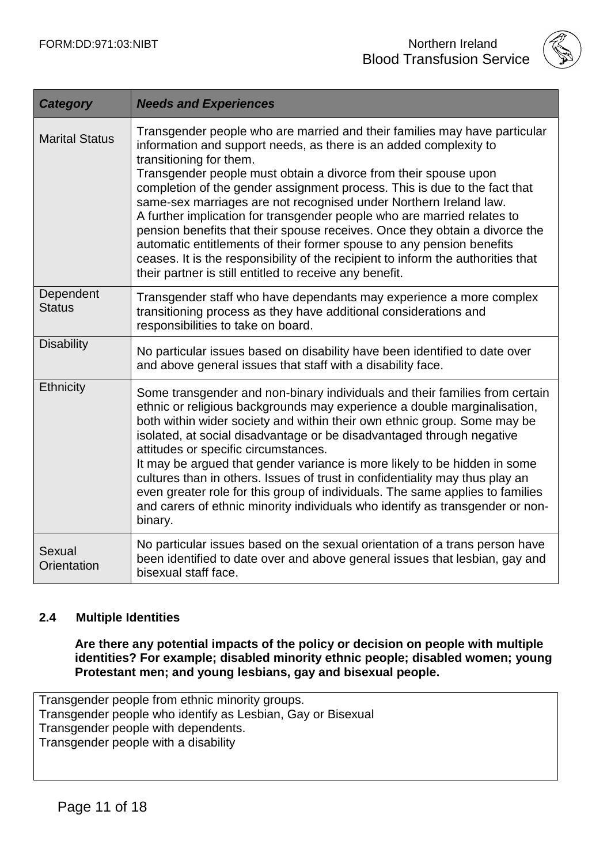

| <b>Category</b>            | <b>Needs and Experiences</b>                                                                                                                                                                                                                                                                                                                                                                                                                                                                                                                                                                                                                                                                                                                                                     |
|----------------------------|----------------------------------------------------------------------------------------------------------------------------------------------------------------------------------------------------------------------------------------------------------------------------------------------------------------------------------------------------------------------------------------------------------------------------------------------------------------------------------------------------------------------------------------------------------------------------------------------------------------------------------------------------------------------------------------------------------------------------------------------------------------------------------|
| <b>Marital Status</b>      | Transgender people who are married and their families may have particular<br>information and support needs, as there is an added complexity to<br>transitioning for them.<br>Transgender people must obtain a divorce from their spouse upon<br>completion of the gender assignment process. This is due to the fact that<br>same-sex marriages are not recognised under Northern Ireland law.<br>A further implication for transgender people who are married relates to<br>pension benefits that their spouse receives. Once they obtain a divorce the<br>automatic entitlements of their former spouse to any pension benefits<br>ceases. It is the responsibility of the recipient to inform the authorities that<br>their partner is still entitled to receive any benefit. |
| Dependent<br><b>Status</b> | Transgender staff who have dependants may experience a more complex<br>transitioning process as they have additional considerations and<br>responsibilities to take on board.                                                                                                                                                                                                                                                                                                                                                                                                                                                                                                                                                                                                    |
| <b>Disability</b>          | No particular issues based on disability have been identified to date over<br>and above general issues that staff with a disability face.                                                                                                                                                                                                                                                                                                                                                                                                                                                                                                                                                                                                                                        |
| <b>Ethnicity</b>           | Some transgender and non-binary individuals and their families from certain<br>ethnic or religious backgrounds may experience a double marginalisation,<br>both within wider society and within their own ethnic group. Some may be<br>isolated, at social disadvantage or be disadvantaged through negative<br>attitudes or specific circumstances.<br>It may be argued that gender variance is more likely to be hidden in some<br>cultures than in others. Issues of trust in confidentiality may thus play an<br>even greater role for this group of individuals. The same applies to families<br>and carers of ethnic minority individuals who identify as transgender or non-<br>binary.                                                                                   |
| Sexual<br>Orientation      | No particular issues based on the sexual orientation of a trans person have<br>been identified to date over and above general issues that lesbian, gay and<br>bisexual staff face.                                                                                                                                                                                                                                                                                                                                                                                                                                                                                                                                                                                               |

### **2.4 Multiple Identities**

**Are there any potential impacts of the policy or decision on people with multiple identities? For example; disabled minority ethnic people; disabled women; young Protestant men; and young lesbians, gay and bisexual people.**

Transgender people from ethnic minority groups. Transgender people who identify as Lesbian, Gay or Bisexual Transgender people with dependents. Transgender people with a disability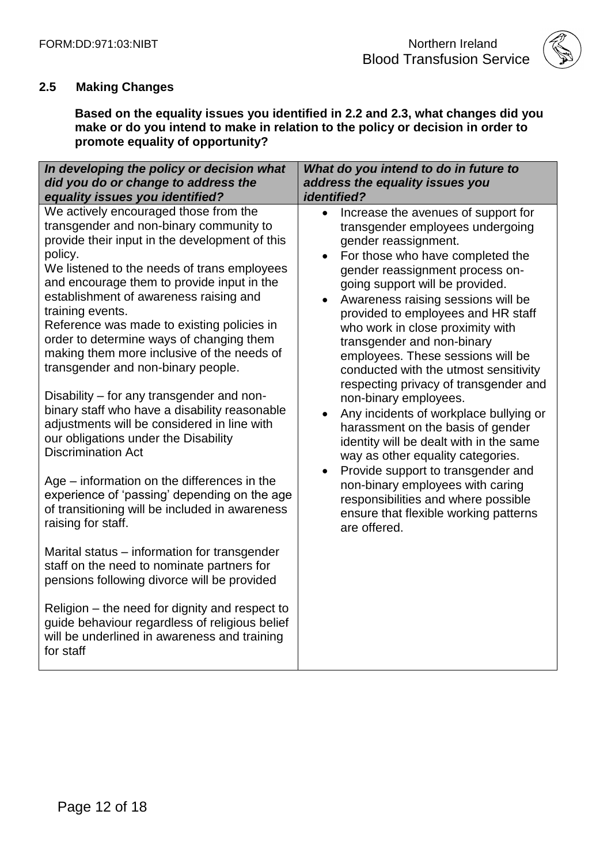

# **2.5 Making Changes**

**Based on the equality issues you identified in 2.2 and 2.3, what changes did you make or do you intend to make in relation to the policy or decision in order to promote equality of opportunity?**

| In developing the policy or decision what                                                                                                                                                                                                                                                                                                                                                                                                                                                                                                                                                                                                                                                                                                                                                                                                                                                                                                                                                                                                                                                                                                                                                     | What do you intend to do in future to                                                                                                                                                                                                                                                                                                                                                                                                                                                                                                                                                                                                                                                                                                                                                                                                                         |
|-----------------------------------------------------------------------------------------------------------------------------------------------------------------------------------------------------------------------------------------------------------------------------------------------------------------------------------------------------------------------------------------------------------------------------------------------------------------------------------------------------------------------------------------------------------------------------------------------------------------------------------------------------------------------------------------------------------------------------------------------------------------------------------------------------------------------------------------------------------------------------------------------------------------------------------------------------------------------------------------------------------------------------------------------------------------------------------------------------------------------------------------------------------------------------------------------|---------------------------------------------------------------------------------------------------------------------------------------------------------------------------------------------------------------------------------------------------------------------------------------------------------------------------------------------------------------------------------------------------------------------------------------------------------------------------------------------------------------------------------------------------------------------------------------------------------------------------------------------------------------------------------------------------------------------------------------------------------------------------------------------------------------------------------------------------------------|
| did you do or change to address the                                                                                                                                                                                                                                                                                                                                                                                                                                                                                                                                                                                                                                                                                                                                                                                                                                                                                                                                                                                                                                                                                                                                                           | address the equality issues you                                                                                                                                                                                                                                                                                                                                                                                                                                                                                                                                                                                                                                                                                                                                                                                                                               |
| equality issues you identified?                                                                                                                                                                                                                                                                                                                                                                                                                                                                                                                                                                                                                                                                                                                                                                                                                                                                                                                                                                                                                                                                                                                                                               | <i>identified?</i>                                                                                                                                                                                                                                                                                                                                                                                                                                                                                                                                                                                                                                                                                                                                                                                                                                            |
| We actively encouraged those from the<br>transgender and non-binary community to<br>provide their input in the development of this<br>policy.<br>We listened to the needs of trans employees<br>and encourage them to provide input in the<br>establishment of awareness raising and<br>training events.<br>Reference was made to existing policies in<br>order to determine ways of changing them<br>making them more inclusive of the needs of<br>transgender and non-binary people.<br>Disability – for any transgender and non-<br>binary staff who have a disability reasonable<br>adjustments will be considered in line with<br>our obligations under the Disability<br><b>Discrimination Act</b><br>Age – information on the differences in the<br>experience of 'passing' depending on the age<br>of transitioning will be included in awareness<br>raising for staff.<br>Marital status – information for transgender<br>staff on the need to nominate partners for<br>pensions following divorce will be provided<br>Religion – the need for dignity and respect to<br>guide behaviour regardless of religious belief<br>will be underlined in awareness and training<br>for staff | Increase the avenues of support for<br>$\bullet$<br>transgender employees undergoing<br>gender reassignment.<br>For those who have completed the<br>gender reassignment process on-<br>going support will be provided.<br>Awareness raising sessions will be<br>provided to employees and HR staff<br>who work in close proximity with<br>transgender and non-binary<br>employees. These sessions will be<br>conducted with the utmost sensitivity<br>respecting privacy of transgender and<br>non-binary employees.<br>Any incidents of workplace bullying or<br>harassment on the basis of gender<br>identity will be dealt with in the same<br>way as other equality categories.<br>Provide support to transgender and<br>non-binary employees with caring<br>responsibilities and where possible<br>ensure that flexible working patterns<br>are offered. |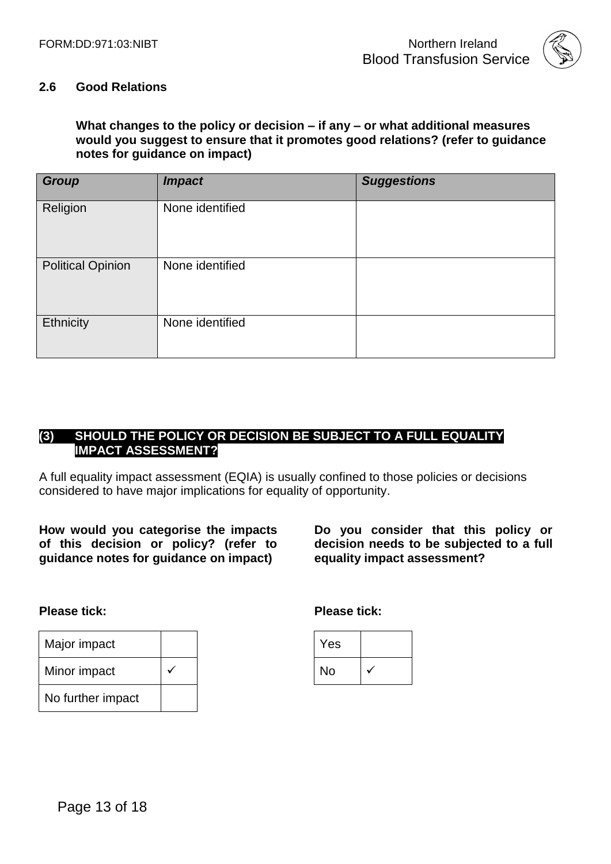

#### **2.6 Good Relations**

### **What changes to the policy or decision – if any – or what additional measures would you suggest to ensure that it promotes good relations? (refer to guidance notes for guidance on impact)**

| <b>Group</b>             | <b>Impact</b>   | <b>Suggestions</b> |
|--------------------------|-----------------|--------------------|
| Religion                 | None identified |                    |
| <b>Political Opinion</b> | None identified |                    |
| Ethnicity                | None identified |                    |

## **(3) SHOULD THE POLICY OR DECISION BE SUBJECT TO A FULL EQUALITY IMPACT ASSESSMENT?**

A full equality impact assessment (EQIA) is usually confined to those policies or decisions considered to have major implications for equality of opportunity.

**How would you categorise the impacts of this decision or policy? (refer to guidance notes for guidance on impact)**

**Do you consider that this policy or decision needs to be subjected to a full equality impact assessment?**

#### **Please tick:**

| Major impact      |  |
|-------------------|--|
| Minor impact      |  |
| No further impact |  |

**Please tick:**

| Yes       |  |
|-----------|--|
| <b>No</b> |  |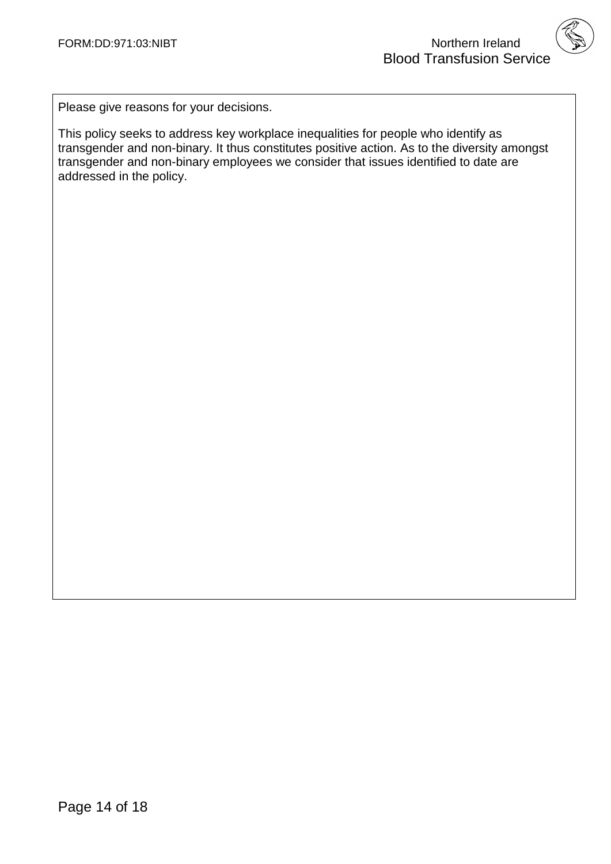Please give reasons for your decisions.

This policy seeks to address key workplace inequalities for people who identify as transgender and non-binary. It thus constitutes positive action. As to the diversity amongst transgender and non-binary employees we consider that issues identified to date are addressed in the policy.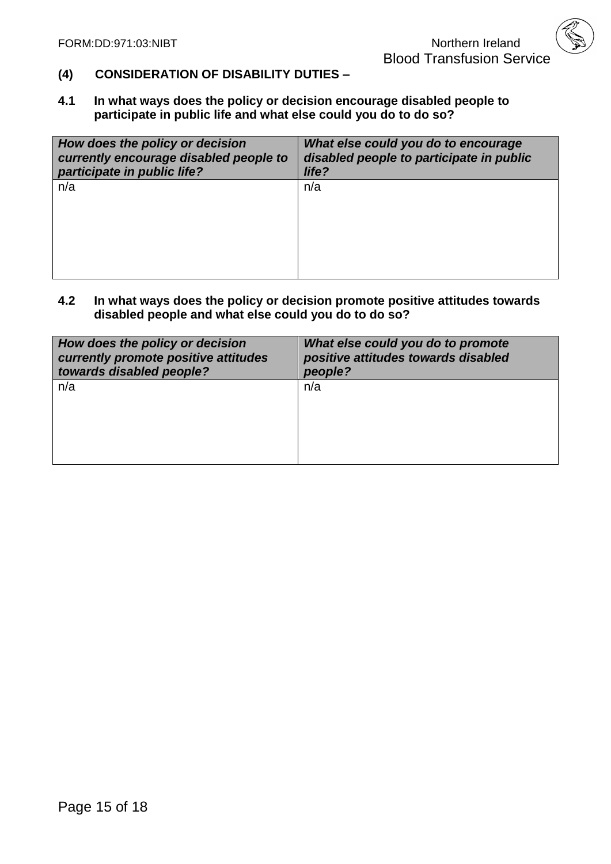- (4) CONSIDERATION OF DISABILITY DUTIES Blood Transfusion Service **(4) CONSIDERATION OF DISABILITY DUTIES –**
- **4.1 In what ways does the policy or decision encourage disabled people to participate in public life and what else could you do to do so?**

| How does the policy or decision        | What else could you do to encourage      |
|----------------------------------------|------------------------------------------|
| currently encourage disabled people to | disabled people to participate in public |
| participate in public life?            | life?                                    |
| n/a                                    | n/a                                      |

**4.2 In what ways does the policy or decision promote positive attitudes towards disabled people and what else could you do to do so?**

| How does the policy or decision      | What else could you do to promote   |
|--------------------------------------|-------------------------------------|
| currently promote positive attitudes | positive attitudes towards disabled |
| towards disabled people?             | people?                             |
| n/a                                  | n/a                                 |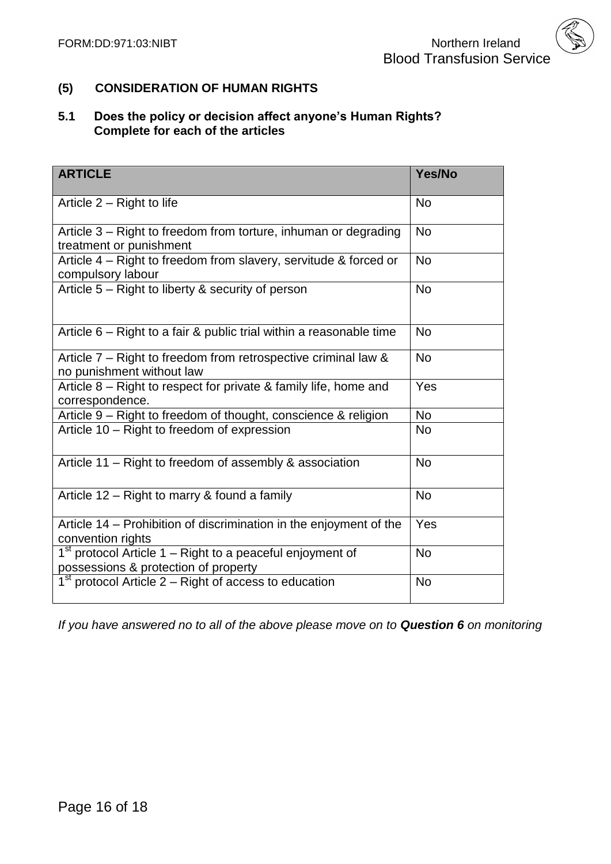# **(5) CONSIDERATION OF HUMAN RIGHTS**

## **5.1 Does the policy or decision affect anyone's Human Rights? Complete for each of the articles**

| <b>ARTICLE</b>                                                                                      | Yes/No    |
|-----------------------------------------------------------------------------------------------------|-----------|
| Article $2 -$ Right to life                                                                         | <b>No</b> |
| Article 3 – Right to freedom from torture, inhuman or degrading<br>treatment or punishment          | <b>No</b> |
| Article 4 – Right to freedom from slavery, servitude & forced or<br>compulsory labour               | <b>No</b> |
| Article 5 - Right to liberty & security of person                                                   | <b>No</b> |
| Article 6 – Right to a fair & public trial within a reasonable time                                 | <b>No</b> |
| Article 7 – Right to freedom from retrospective criminal law &<br>no punishment without law         | <b>No</b> |
| Article 8 – Right to respect for private & family life, home and<br>correspondence.                 | Yes       |
| Article 9 – Right to freedom of thought, conscience & religion                                      | <b>No</b> |
| Article 10 - Right to freedom of expression                                                         | <b>No</b> |
| Article 11 - Right to freedom of assembly & association                                             | <b>No</b> |
| Article 12 – Right to marry & found a family                                                        | <b>No</b> |
| Article 14 - Prohibition of discrimination in the enjoyment of the<br>convention rights             | Yes       |
| $1st$ protocol Article 1 – Right to a peaceful enjoyment of<br>possessions & protection of property | <b>No</b> |
| $1st$ protocol Article 2 – Right of access to education                                             | <b>No</b> |

*If you have answered no to all of the above please move on to Question 6 on monitoring*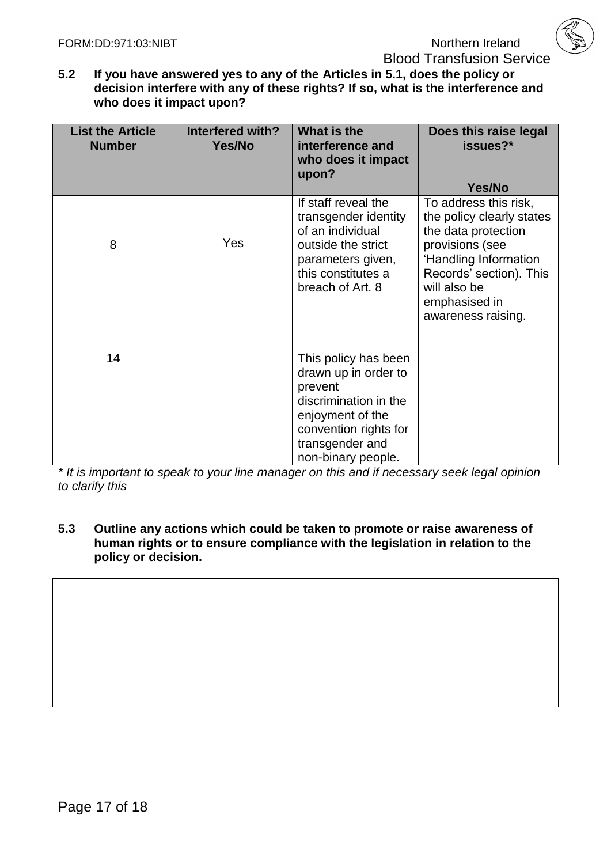Blood Transfusion Service<br>5.2 If you have answered ves to any of the Articles in 5.1, does the policy or **5.2 If you have answered yes to any of the Articles in 5.1, does the policy or decision interfere with any of these rights? If so, what is the interference and who does it impact upon?**

| <b>List the Article</b><br><b>Number</b> | Interfered with?<br>Yes/No | What is the<br>interference and<br>who does it impact<br>upon?                                                                                                         | Does this raise legal<br>issues?*                                                                                                                                                                       |
|------------------------------------------|----------------------------|------------------------------------------------------------------------------------------------------------------------------------------------------------------------|---------------------------------------------------------------------------------------------------------------------------------------------------------------------------------------------------------|
|                                          |                            |                                                                                                                                                                        | Yes/No                                                                                                                                                                                                  |
| 8                                        | Yes                        | If staff reveal the<br>transgender identity<br>of an individual<br>outside the strict<br>parameters given,<br>this constitutes a<br>breach of Art. 8                   | To address this risk,<br>the policy clearly states<br>the data protection<br>provisions (see<br>'Handling Information<br>Records' section). This<br>will also be<br>emphasised in<br>awareness raising. |
| 14                                       |                            | This policy has been<br>drawn up in order to<br>prevent<br>discrimination in the<br>enjoyment of the<br>convention rights for<br>transgender and<br>non-binary people. |                                                                                                                                                                                                         |

*\* It is important to speak to your line manager on this and if necessary seek legal opinion to clarify this* 

**5.3 Outline any actions which could be taken to promote or raise awareness of human rights or to ensure compliance with the legislation in relation to the policy or decision.**